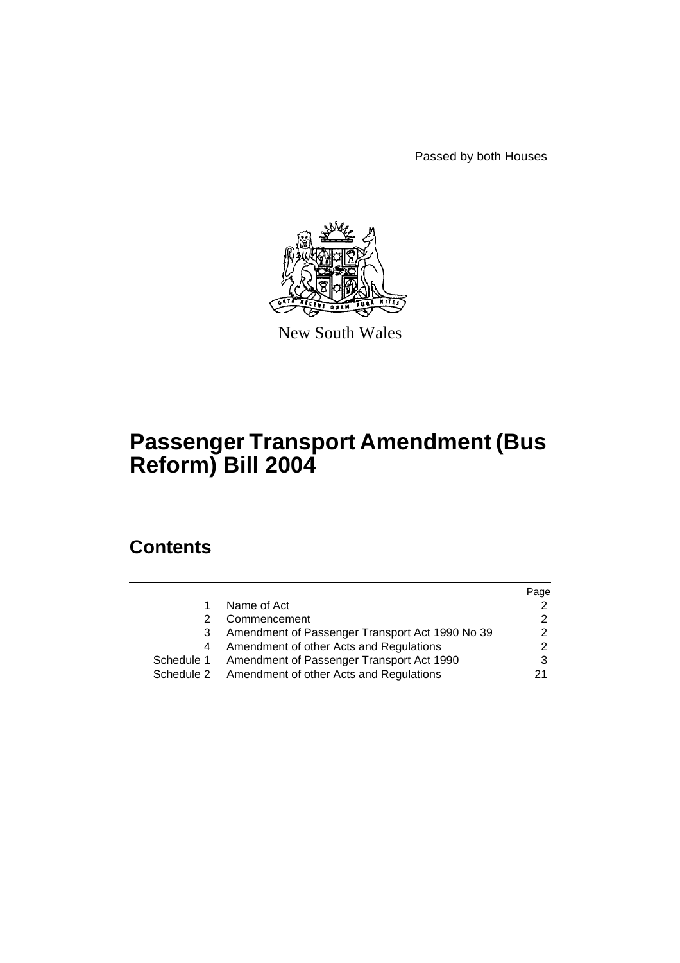Passed by both Houses



New South Wales

# **Passenger Transport Amendment (Bus Reform) Bill 2004**

# **Contents**

|            |                                                 | Page |
|------------|-------------------------------------------------|------|
|            | Name of Act                                     |      |
|            | Commencement                                    |      |
| 3          | Amendment of Passenger Transport Act 1990 No 39 |      |
| 4          | Amendment of other Acts and Regulations         |      |
| Schedule 1 | Amendment of Passenger Transport Act 1990       |      |
| Schedule 2 | Amendment of other Acts and Regulations         |      |
|            |                                                 |      |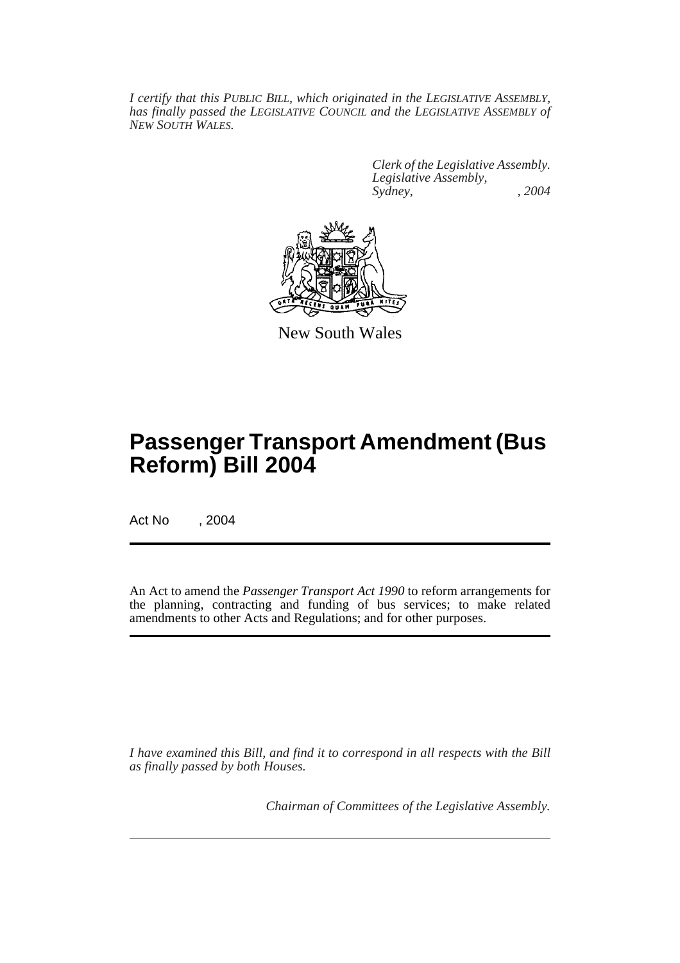*I certify that this PUBLIC BILL, which originated in the LEGISLATIVE ASSEMBLY, has finally passed the LEGISLATIVE COUNCIL and the LEGISLATIVE ASSEMBLY of NEW SOUTH WALES.*

> *Clerk of the Legislative Assembly. Legislative Assembly, Sydney, , 2004*



New South Wales

# **Passenger Transport Amendment (Bus Reform) Bill 2004**

Act No , 2004

An Act to amend the *Passenger Transport Act 1990* to reform arrangements for the planning, contracting and funding of bus services; to make related amendments to other Acts and Regulations; and for other purposes.

*I have examined this Bill, and find it to correspond in all respects with the Bill as finally passed by both Houses.*

*Chairman of Committees of the Legislative Assembly.*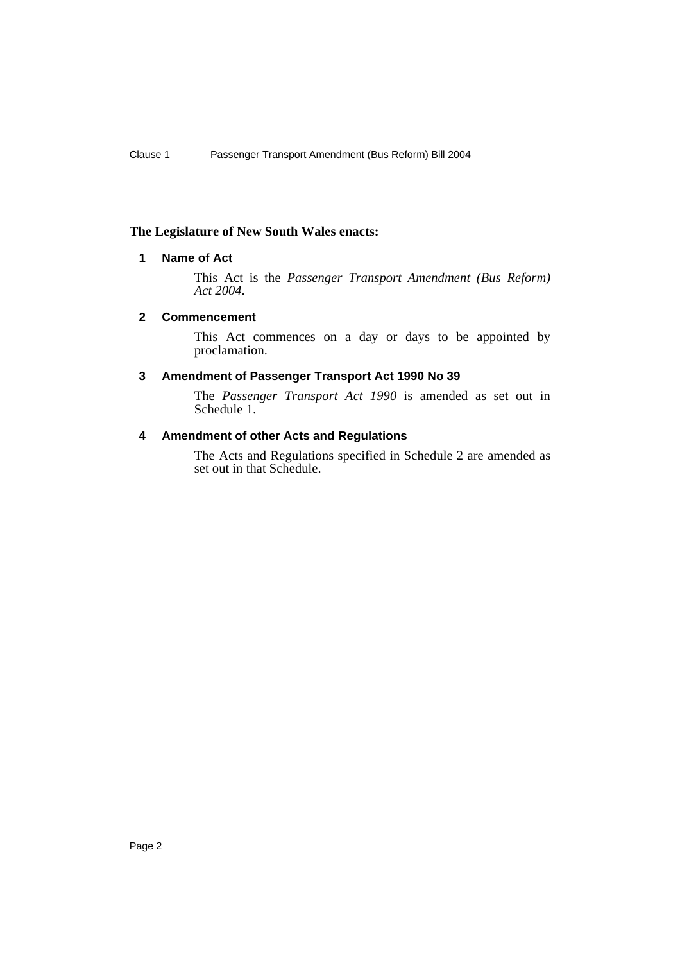## **The Legislature of New South Wales enacts:**

## **1 Name of Act**

This Act is the *Passenger Transport Amendment (Bus Reform) Act 2004*.

#### **2 Commencement**

This Act commences on a day or days to be appointed by proclamation.

#### **3 Amendment of Passenger Transport Act 1990 No 39**

The *Passenger Transport Act 1990* is amended as set out in Schedule 1.

## **4 Amendment of other Acts and Regulations**

The Acts and Regulations specified in Schedule 2 are amended as set out in that Schedule.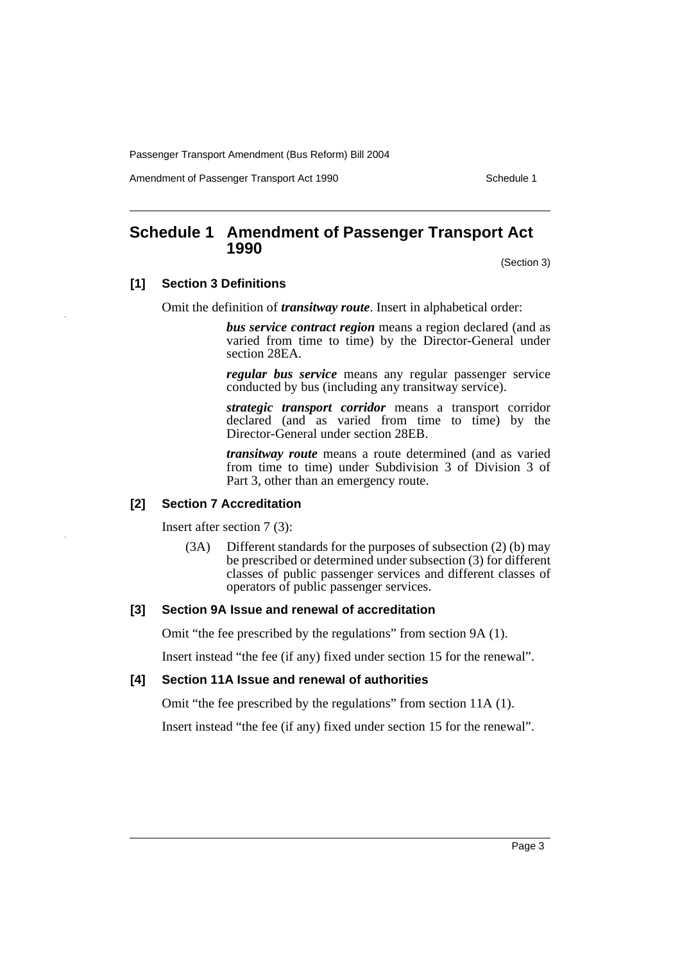Amendment of Passenger Transport Act 1990 Schedule 1

# **Schedule 1 Amendment of Passenger Transport Act 1990**

(Section 3)

## **[1] Section 3 Definitions**

Omit the definition of *transitway route*. Insert in alphabetical order:

*bus service contract region* means a region declared (and as varied from time to time) by the Director-General under section 28EA.

*regular bus service* means any regular passenger service conducted by bus (including any transitway service).

*strategic transport corridor* means a transport corridor declared (and as varied from time to time) by the Director-General under section 28EB.

*transitway route* means a route determined (and as varied from time to time) under Subdivision 3 of Division 3 of Part 3, other than an emergency route.

## **[2] Section 7 Accreditation**

Insert after section 7 (3):

(3A) Different standards for the purposes of subsection (2) (b) may be prescribed or determined under subsection (3) for different classes of public passenger services and different classes of operators of public passenger services.

#### **[3] Section 9A Issue and renewal of accreditation**

Omit "the fee prescribed by the regulations" from section 9A (1).

Insert instead "the fee (if any) fixed under section 15 for the renewal".

#### **[4] Section 11A Issue and renewal of authorities**

Omit "the fee prescribed by the regulations" from section 11A (1).

Insert instead "the fee (if any) fixed under section 15 for the renewal".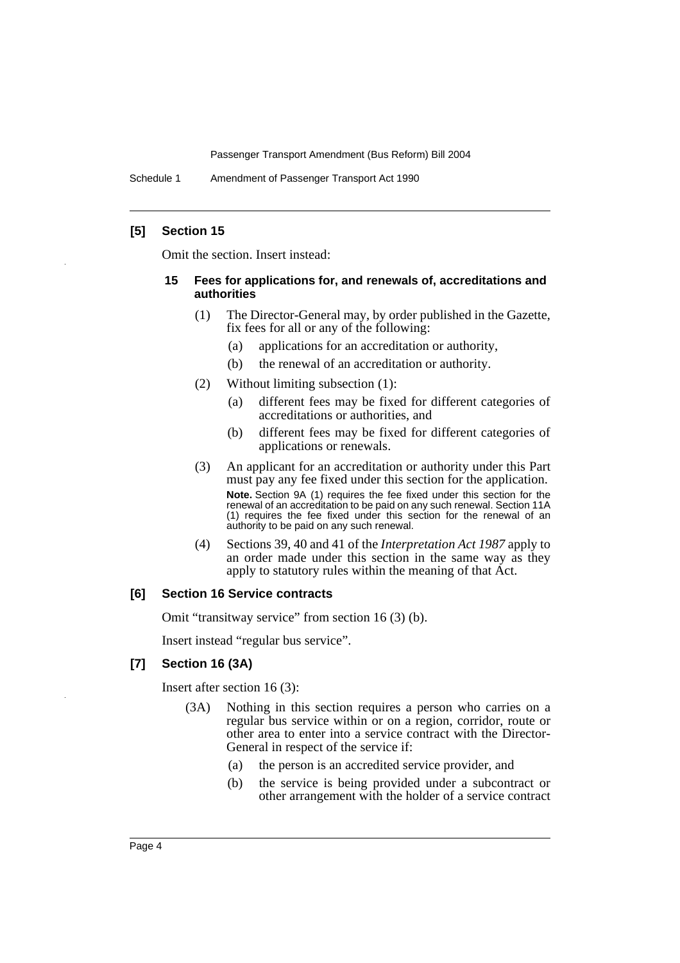Schedule 1 Amendment of Passenger Transport Act 1990

## **[5] Section 15**

Omit the section. Insert instead:

#### **15 Fees for applications for, and renewals of, accreditations and authorities**

- (1) The Director-General may, by order published in the Gazette, fix fees for all or any of the following:
	- (a) applications for an accreditation or authority,
	- (b) the renewal of an accreditation or authority.
- (2) Without limiting subsection (1):
	- (a) different fees may be fixed for different categories of accreditations or authorities, and
	- (b) different fees may be fixed for different categories of applications or renewals.
- (3) An applicant for an accreditation or authority under this Part must pay any fee fixed under this section for the application. **Note.** Section 9A (1) requires the fee fixed under this section for the renewal of an accreditation to be paid on any such renewal. Section 11A (1) requires the fee fixed under this section for the renewal of an authority to be paid on any such renewal.
- (4) Sections 39, 40 and 41 of the *Interpretation Act 1987* apply to an order made under this section in the same way as they apply to statutory rules within the meaning of that Act.

#### **[6] Section 16 Service contracts**

Omit "transitway service" from section 16 (3) (b).

Insert instead "regular bus service".

#### **[7] Section 16 (3A)**

Insert after section 16 (3):

- (3A) Nothing in this section requires a person who carries on a regular bus service within or on a region, corridor, route or other area to enter into a service contract with the Director-General in respect of the service if:
	- (a) the person is an accredited service provider, and
	- (b) the service is being provided under a subcontract or other arrangement with the holder of a service contract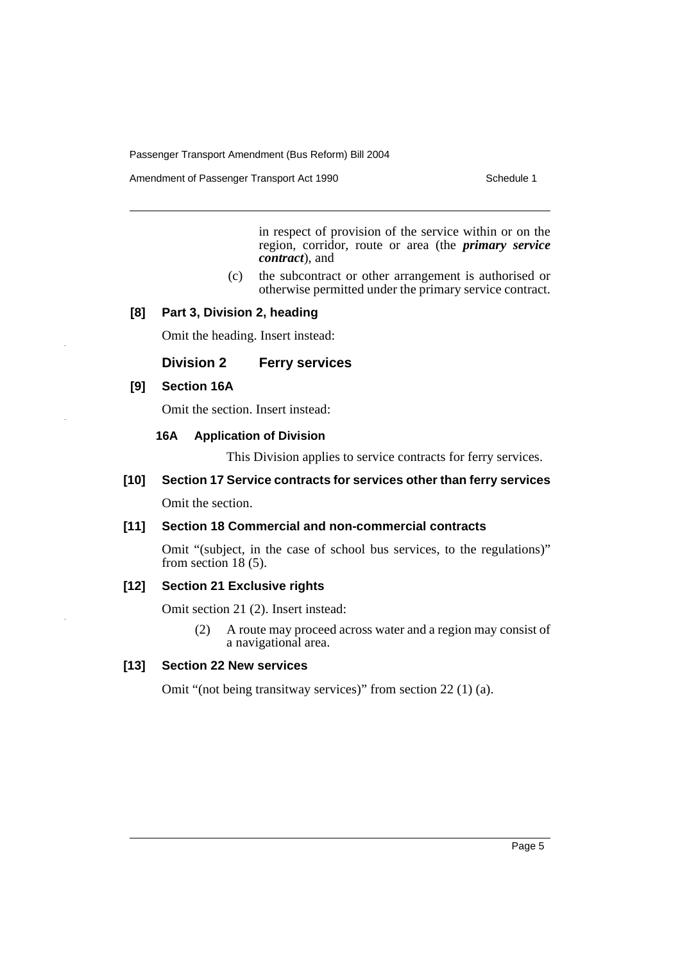Amendment of Passenger Transport Act 1990 Schedule 1

in respect of provision of the service within or on the region, corridor, route or area (the *primary service contract*), and

(c) the subcontract or other arrangement is authorised or otherwise permitted under the primary service contract.

#### **[8] Part 3, Division 2, heading**

Omit the heading. Insert instead:

#### **Division 2 Ferry services**

#### **[9] Section 16A**

Omit the section. Insert instead:

#### **16A Application of Division**

This Division applies to service contracts for ferry services.

## **[10] Section 17 Service contracts for services other than ferry services**

Omit the section.

## **[11] Section 18 Commercial and non-commercial contracts**

Omit "(subject, in the case of school bus services, to the regulations)" from section 18 (5).

#### **[12] Section 21 Exclusive rights**

Omit section 21 (2). Insert instead:

(2) A route may proceed across water and a region may consist of a navigational area.

## **[13] Section 22 New services**

Omit "(not being transitway services)" from section 22 (1) (a).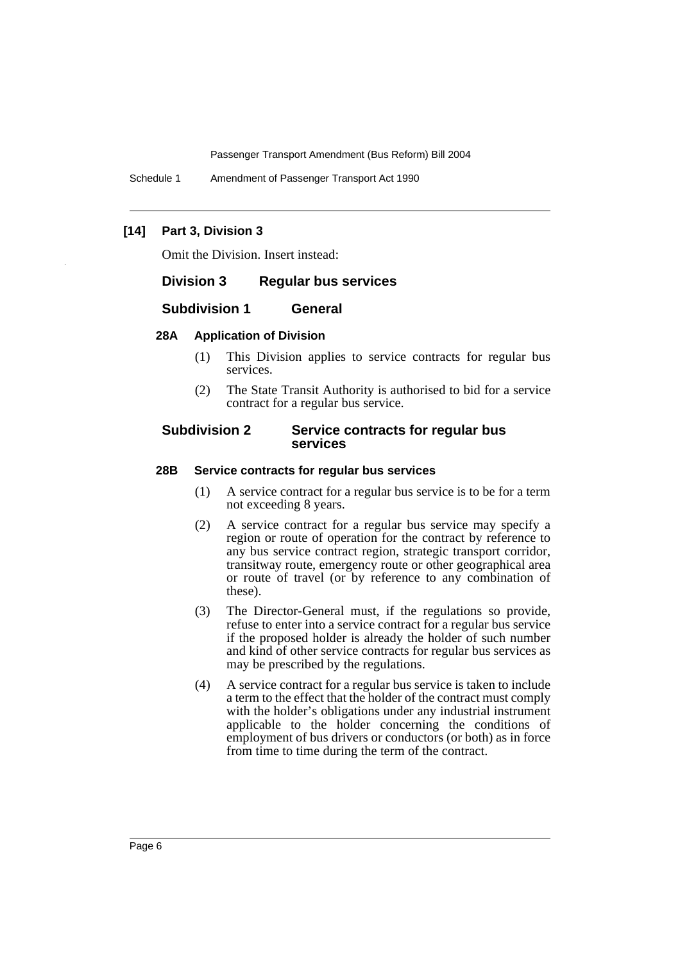Schedule 1 Amendment of Passenger Transport Act 1990

## **[14] Part 3, Division 3**

Omit the Division. Insert instead:

### **Division 3 Regular bus services**

#### **Subdivision 1 General**

#### **28A Application of Division**

- (1) This Division applies to service contracts for regular bus services.
- (2) The State Transit Authority is authorised to bid for a service contract for a regular bus service.

#### **Subdivision 2 Service contracts for regular bus services**

#### **28B Service contracts for regular bus services**

- (1) A service contract for a regular bus service is to be for a term not exceeding 8 years.
- (2) A service contract for a regular bus service may specify a region or route of operation for the contract by reference to any bus service contract region, strategic transport corridor, transitway route, emergency route or other geographical area or route of travel (or by reference to any combination of these).
- (3) The Director-General must, if the regulations so provide, refuse to enter into a service contract for a regular bus service if the proposed holder is already the holder of such number and kind of other service contracts for regular bus services as may be prescribed by the regulations.
- (4) A service contract for a regular bus service is taken to include a term to the effect that the holder of the contract must comply with the holder's obligations under any industrial instrument applicable to the holder concerning the conditions of employment of bus drivers or conductors (or both) as in force from time to time during the term of the contract.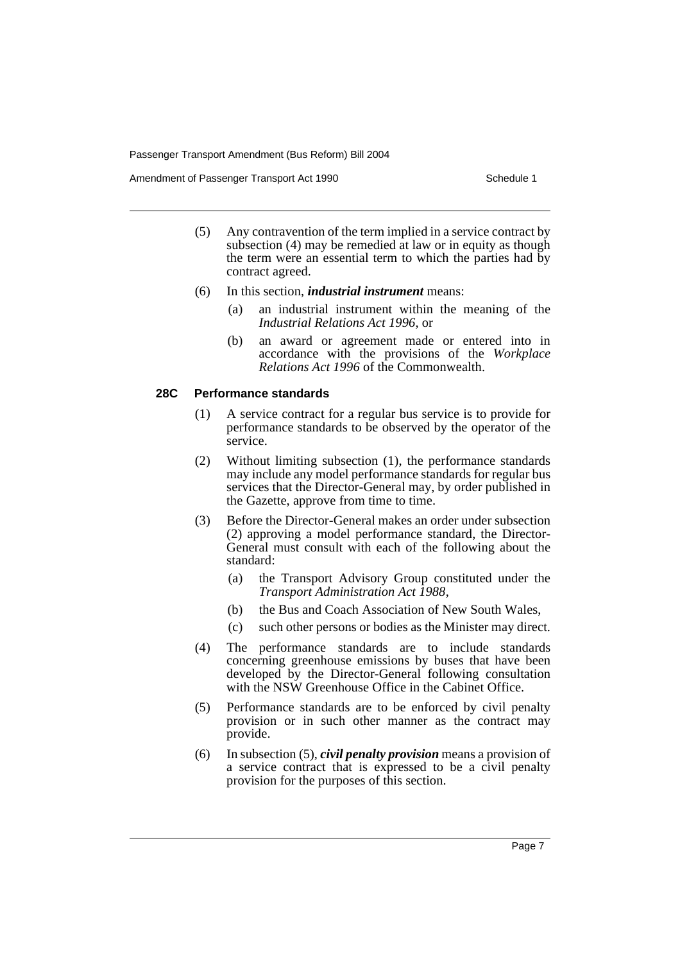Amendment of Passenger Transport Act 1990 Schedule 1

- (5) Any contravention of the term implied in a service contract by subsection (4) may be remedied at law or in equity as though the term were an essential term to which the parties had by contract agreed.
- (6) In this section, *industrial instrument* means:
	- (a) an industrial instrument within the meaning of the *Industrial Relations Act 1996*, or
	- (b) an award or agreement made or entered into in accordance with the provisions of the *Workplace Relations Act 1996* of the Commonwealth.

## **28C Performance standards**

- (1) A service contract for a regular bus service is to provide for performance standards to be observed by the operator of the service.
- (2) Without limiting subsection (1), the performance standards may include any model performance standards for regular bus services that the Director-General may, by order published in the Gazette, approve from time to time.
- (3) Before the Director-General makes an order under subsection (2) approving a model performance standard, the Director-General must consult with each of the following about the standard:
	- (a) the Transport Advisory Group constituted under the *Transport Administration Act 1988*,
	- (b) the Bus and Coach Association of New South Wales,
	- (c) such other persons or bodies as the Minister may direct.
- (4) The performance standards are to include standards concerning greenhouse emissions by buses that have been developed by the Director-General following consultation with the NSW Greenhouse Office in the Cabinet Office.
- (5) Performance standards are to be enforced by civil penalty provision or in such other manner as the contract may provide.
- (6) In subsection (5), *civil penalty provision* means a provision of a service contract that is expressed to be a civil penalty provision for the purposes of this section.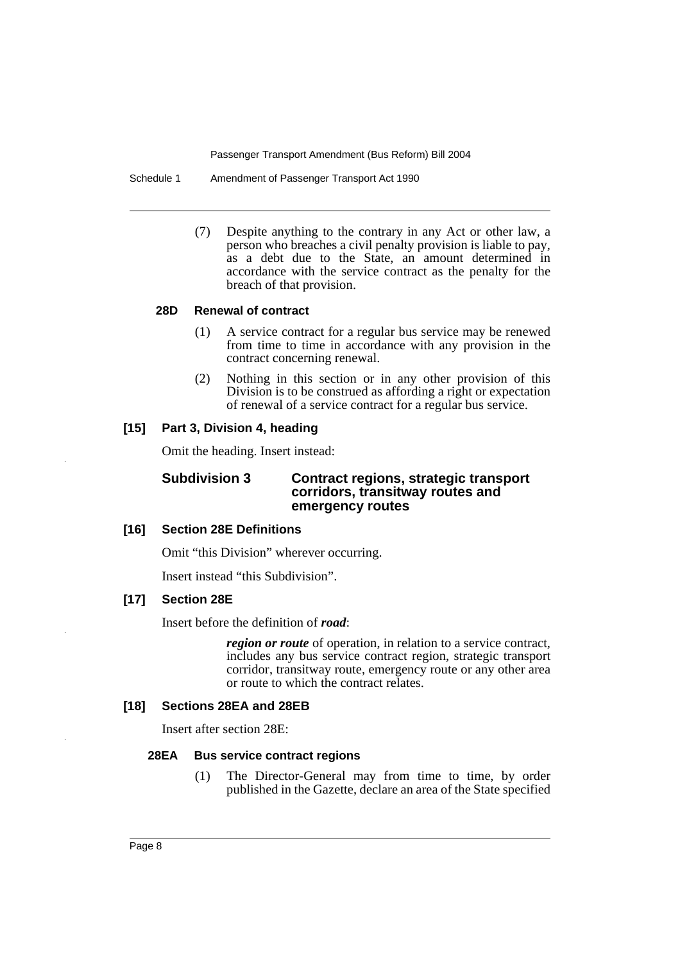Schedule 1 Amendment of Passenger Transport Act 1990

(7) Despite anything to the contrary in any Act or other law, a person who breaches a civil penalty provision is liable to pay, as a debt due to the State, an amount determined in accordance with the service contract as the penalty for the breach of that provision.

### **28D Renewal of contract**

- (1) A service contract for a regular bus service may be renewed from time to time in accordance with any provision in the contract concerning renewal.
- (2) Nothing in this section or in any other provision of this Division is to be construed as affording a right or expectation of renewal of a service contract for a regular bus service.

## **[15] Part 3, Division 4, heading**

Omit the heading. Insert instead:

### **Subdivision 3 Contract regions, strategic transport corridors, transitway routes and emergency routes**

#### **[16] Section 28E Definitions**

Omit "this Division" wherever occurring.

Insert instead "this Subdivision".

### **[17] Section 28E**

Insert before the definition of *road*:

*region or route* of operation, in relation to a service contract, includes any bus service contract region, strategic transport corridor, transitway route, emergency route or any other area or route to which the contract relates.

## **[18] Sections 28EA and 28EB**

Insert after section 28E:

#### **28EA Bus service contract regions**

(1) The Director-General may from time to time, by order published in the Gazette, declare an area of the State specified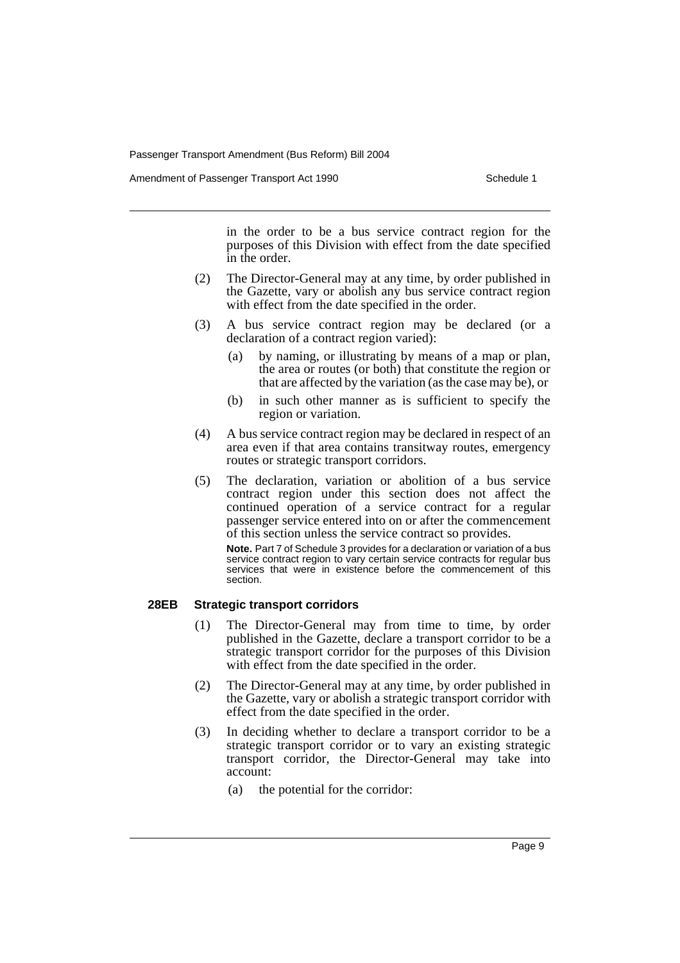Amendment of Passenger Transport Act 1990 Schedule 1

in the order to be a bus service contract region for the purposes of this Division with effect from the date specified in the order.

- (2) The Director-General may at any time, by order published in the Gazette, vary or abolish any bus service contract region with effect from the date specified in the order.
- (3) A bus service contract region may be declared (or a declaration of a contract region varied):
	- (a) by naming, or illustrating by means of a map or plan, the area or routes (or both) that constitute the region or that are affected by the variation (as the case may be), or
	- (b) in such other manner as is sufficient to specify the region or variation.
- (4) A bus service contract region may be declared in respect of an area even if that area contains transitway routes, emergency routes or strategic transport corridors.
- (5) The declaration, variation or abolition of a bus service contract region under this section does not affect the continued operation of a service contract for a regular passenger service entered into on or after the commencement of this section unless the service contract so provides.

**Note.** Part 7 of Schedule 3 provides for a declaration or variation of a bus service contract region to vary certain service contracts for regular bus services that were in existence before the commencement of this section.

#### **28EB Strategic transport corridors**

- (1) The Director-General may from time to time, by order published in the Gazette, declare a transport corridor to be a strategic transport corridor for the purposes of this Division with effect from the date specified in the order.
- (2) The Director-General may at any time, by order published in the Gazette, vary or abolish a strategic transport corridor with effect from the date specified in the order.
- (3) In deciding whether to declare a transport corridor to be a strategic transport corridor or to vary an existing strategic transport corridor, the Director-General may take into account:
	- (a) the potential for the corridor: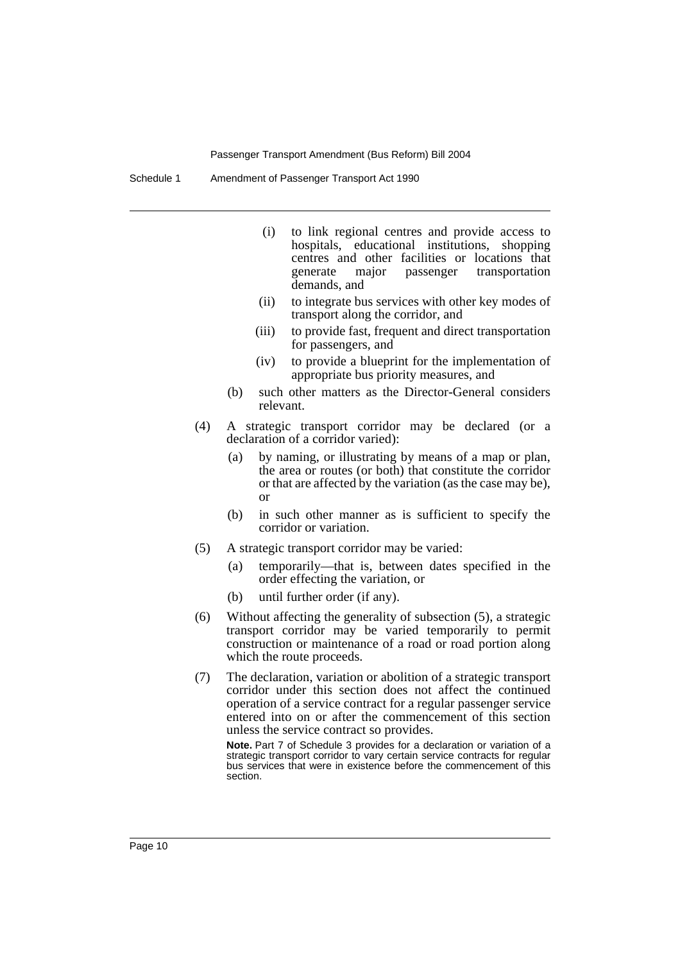Schedule 1 Amendment of Passenger Transport Act 1990

- (i) to link regional centres and provide access to hospitals, educational institutions, shopping centres and other facilities or locations that transportation demands, and
- (ii) to integrate bus services with other key modes of transport along the corridor, and
- (iii) to provide fast, frequent and direct transportation for passengers, and
- (iv) to provide a blueprint for the implementation of appropriate bus priority measures, and
- (b) such other matters as the Director-General considers relevant.
- (4) A strategic transport corridor may be declared (or a declaration of a corridor varied):
	- (a) by naming, or illustrating by means of a map or plan, the area or routes (or both) that constitute the corridor or that are affected by the variation (as the case may be), or
	- (b) in such other manner as is sufficient to specify the corridor or variation.
- (5) A strategic transport corridor may be varied:
	- (a) temporarily—that is, between dates specified in the order effecting the variation, or
	- (b) until further order (if any).
- (6) Without affecting the generality of subsection (5), a strategic transport corridor may be varied temporarily to permit construction or maintenance of a road or road portion along which the route proceeds.
- (7) The declaration, variation or abolition of a strategic transport corridor under this section does not affect the continued operation of a service contract for a regular passenger service entered into on or after the commencement of this section unless the service contract so provides.

**Note.** Part 7 of Schedule 3 provides for a declaration or variation of a strategic transport corridor to vary certain service contracts for regular bus services that were in existence before the commencement of this section.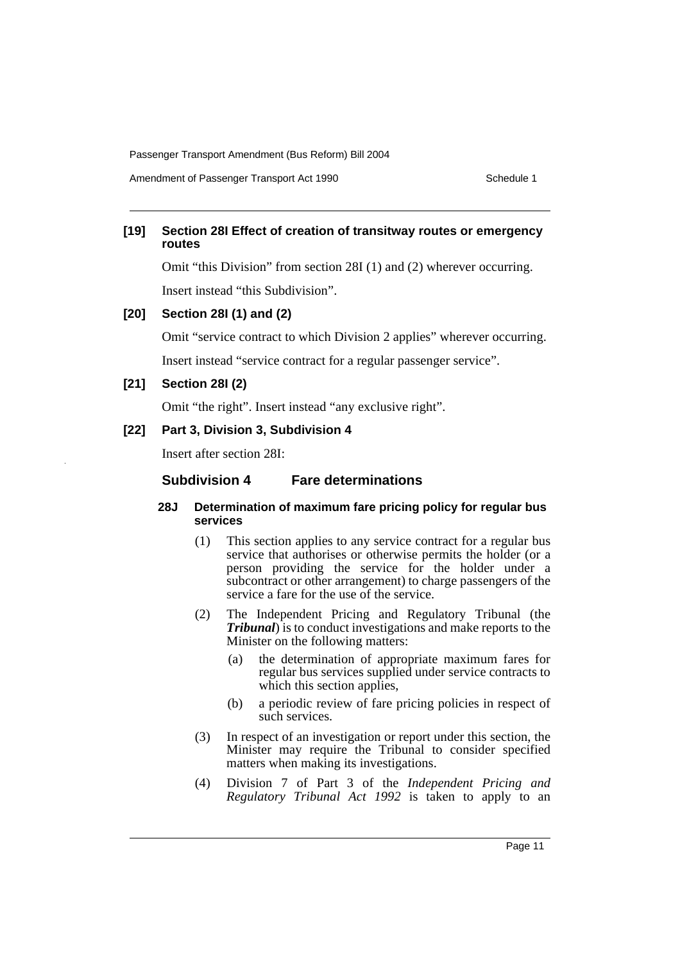Amendment of Passenger Transport Act 1990 Schedule 1

## **[19] Section 28I Effect of creation of transitway routes or emergency routes**

Omit "this Division" from section 28I (1) and (2) wherever occurring.

Insert instead "this Subdivision".

## **[20] Section 28I (1) and (2)**

Omit "service contract to which Division 2 applies" wherever occurring.

Insert instead "service contract for a regular passenger service".

## **[21] Section 28I (2)**

Omit "the right". Insert instead "any exclusive right".

## **[22] Part 3, Division 3, Subdivision 4**

Insert after section 28I:

## **Subdivision 4 Fare determinations**

## **28J Determination of maximum fare pricing policy for regular bus services**

- (1) This section applies to any service contract for a regular bus service that authorises or otherwise permits the holder (or a person providing the service for the holder under a subcontract or other arrangement) to charge passengers of the service a fare for the use of the service.
- (2) The Independent Pricing and Regulatory Tribunal (the *Tribunal*) is to conduct investigations and make reports to the Minister on the following matters:
	- (a) the determination of appropriate maximum fares for regular bus services supplied under service contracts to which this section applies,
	- (b) a periodic review of fare pricing policies in respect of such services.
- (3) In respect of an investigation or report under this section, the Minister may require the Tribunal to consider specified matters when making its investigations.
- (4) Division 7 of Part 3 of the *Independent Pricing and Regulatory Tribunal Act 1992* is taken to apply to an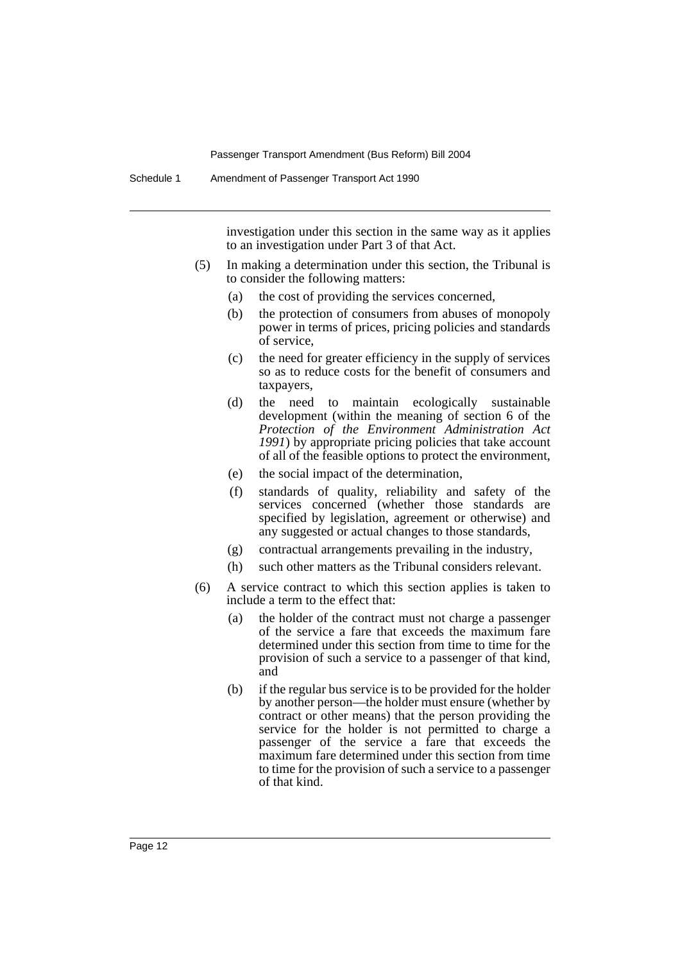investigation under this section in the same way as it applies to an investigation under Part 3 of that Act.

- (5) In making a determination under this section, the Tribunal is to consider the following matters:
	- (a) the cost of providing the services concerned,
	- (b) the protection of consumers from abuses of monopoly power in terms of prices, pricing policies and standards of service,
	- (c) the need for greater efficiency in the supply of services so as to reduce costs for the benefit of consumers and taxpayers,
	- (d) the need to maintain ecologically sustainable development (within the meaning of section 6 of the *Protection of the Environment Administration Act 1991*) by appropriate pricing policies that take account of all of the feasible options to protect the environment,
	- (e) the social impact of the determination,
	- (f) standards of quality, reliability and safety of the services concerned (whether those standards are specified by legislation, agreement or otherwise) and any suggested or actual changes to those standards,
	- (g) contractual arrangements prevailing in the industry,
	- (h) such other matters as the Tribunal considers relevant.
- (6) A service contract to which this section applies is taken to include a term to the effect that:
	- (a) the holder of the contract must not charge a passenger of the service a fare that exceeds the maximum fare determined under this section from time to time for the provision of such a service to a passenger of that kind, and
	- (b) if the regular bus service is to be provided for the holder by another person—the holder must ensure (whether by contract or other means) that the person providing the service for the holder is not permitted to charge a passenger of the service a fare that exceeds the maximum fare determined under this section from time to time for the provision of such a service to a passenger of that kind.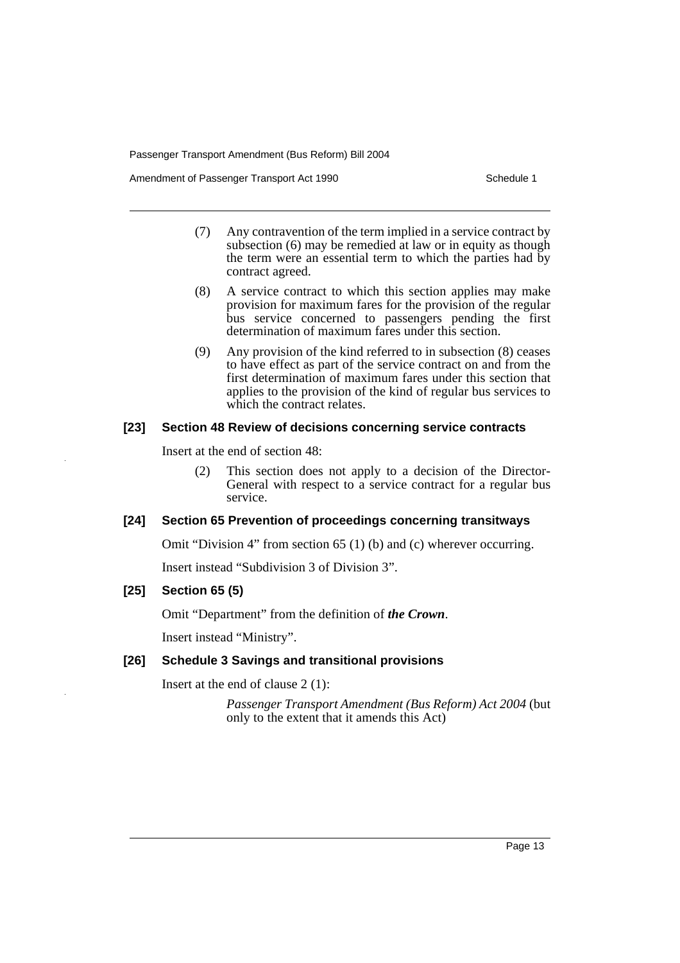Amendment of Passenger Transport Act 1990 Schedule 1

- (7) Any contravention of the term implied in a service contract by subsection (6) may be remedied at law or in equity as though the term were an essential term to which the parties had by contract agreed.
- (8) A service contract to which this section applies may make provision for maximum fares for the provision of the regular bus service concerned to passengers pending the first determination of maximum fares under this section.
- (9) Any provision of the kind referred to in subsection (8) ceases to have effect as part of the service contract on and from the first determination of maximum fares under this section that applies to the provision of the kind of regular bus services to which the contract relates.

## **[23] Section 48 Review of decisions concerning service contracts**

Insert at the end of section 48:

(2) This section does not apply to a decision of the Director-General with respect to a service contract for a regular bus service.

## **[24] Section 65 Prevention of proceedings concerning transitways**

Omit "Division 4" from section 65 (1) (b) and (c) wherever occurring.

Insert instead "Subdivision 3 of Division 3".

## **[25] Section 65 (5)**

Omit "Department" from the definition of *the Crown*.

Insert instead "Ministry".

## **[26] Schedule 3 Savings and transitional provisions**

Insert at the end of clause 2 (1):

*Passenger Transport Amendment (Bus Reform) Act 2004* (but only to the extent that it amends this Act)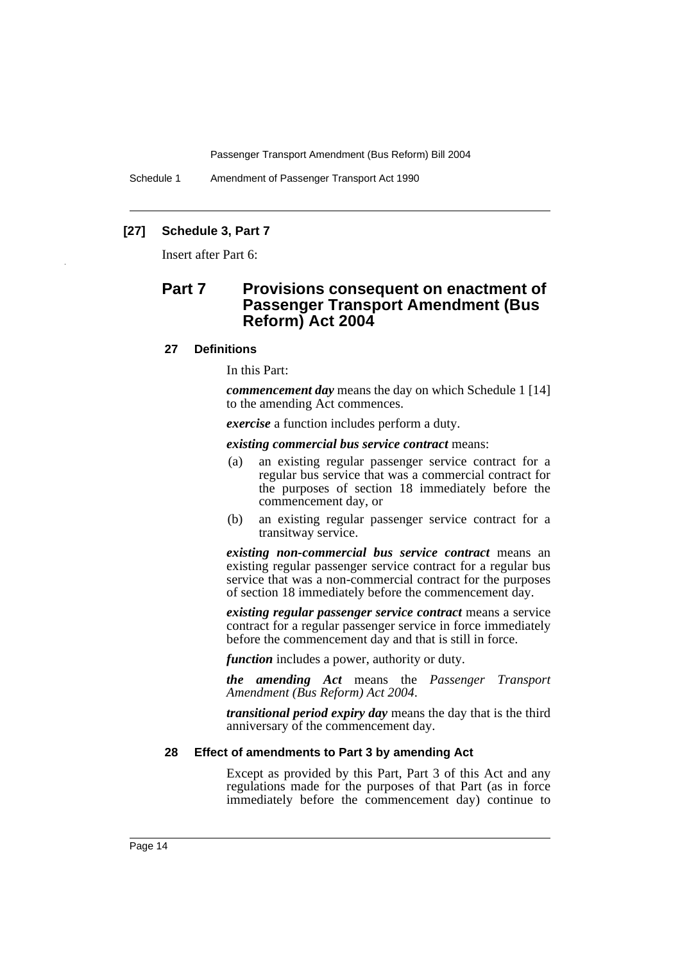Schedule 1 Amendment of Passenger Transport Act 1990

## **[27] Schedule 3, Part 7**

Insert after Part 6:

# **Part 7 Provisions consequent on enactment of Passenger Transport Amendment (Bus Reform) Act 2004**

#### **27 Definitions**

In this Part:

*commencement day* means the day on which Schedule 1 [14] to the amending Act commences.

*exercise* a function includes perform a duty.

*existing commercial bus service contract* means:

- (a) an existing regular passenger service contract for a regular bus service that was a commercial contract for the purposes of section 18 immediately before the commencement day, or
- (b) an existing regular passenger service contract for a transitway service.

*existing non-commercial bus service contract* means an existing regular passenger service contract for a regular bus service that was a non-commercial contract for the purposes of section 18 immediately before the commencement day.

*existing regular passenger service contract* means a service contract for a regular passenger service in force immediately before the commencement day and that is still in force.

*function* includes a power, authority or duty.

*the amending Act* means the *Passenger Transport Amendment (Bus Reform) Act 2004*.

*transitional period expiry day* means the day that is the third anniversary of the commencement day.

#### **28 Effect of amendments to Part 3 by amending Act**

Except as provided by this Part, Part 3 of this Act and any regulations made for the purposes of that Part (as in force immediately before the commencement day) continue to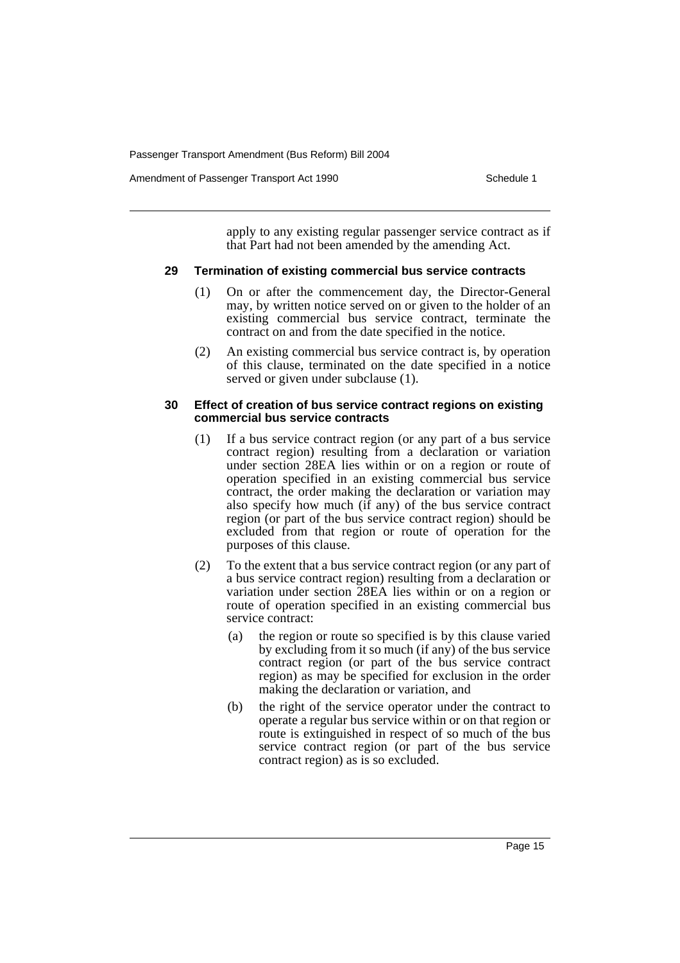Amendment of Passenger Transport Act 1990 **Schedule 1** Schedule 1

apply to any existing regular passenger service contract as if that Part had not been amended by the amending Act.

#### **29 Termination of existing commercial bus service contracts**

- (1) On or after the commencement day, the Director-General may, by written notice served on or given to the holder of an existing commercial bus service contract, terminate the contract on and from the date specified in the notice.
- (2) An existing commercial bus service contract is, by operation of this clause, terminated on the date specified in a notice served or given under subclause (1).

#### **30 Effect of creation of bus service contract regions on existing commercial bus service contracts**

- (1) If a bus service contract region (or any part of a bus service contract region) resulting from a declaration or variation under section 28EA lies within or on a region or route of operation specified in an existing commercial bus service contract, the order making the declaration or variation may also specify how much (if any) of the bus service contract region (or part of the bus service contract region) should be excluded from that region or route of operation for the purposes of this clause.
- (2) To the extent that a bus service contract region (or any part of a bus service contract region) resulting from a declaration or variation under section 28EA lies within or on a region or route of operation specified in an existing commercial bus service contract:
	- (a) the region or route so specified is by this clause varied by excluding from it so much (if any) of the bus service contract region (or part of the bus service contract region) as may be specified for exclusion in the order making the declaration or variation, and
	- (b) the right of the service operator under the contract to operate a regular bus service within or on that region or route is extinguished in respect of so much of the bus service contract region (or part of the bus service contract region) as is so excluded.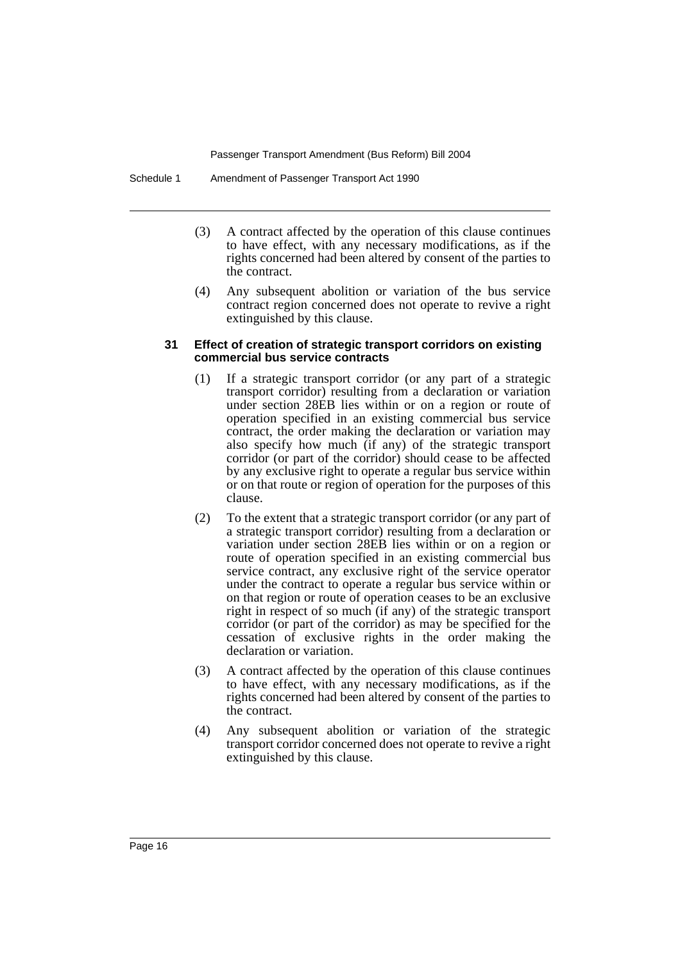Schedule 1 Amendment of Passenger Transport Act 1990

- (3) A contract affected by the operation of this clause continues to have effect, with any necessary modifications, as if the rights concerned had been altered by consent of the parties to the contract.
- (4) Any subsequent abolition or variation of the bus service contract region concerned does not operate to revive a right extinguished by this clause.

#### **31 Effect of creation of strategic transport corridors on existing commercial bus service contracts**

- (1) If a strategic transport corridor (or any part of a strategic transport corridor) resulting from a declaration or variation under section 28EB lies within or on a region or route of operation specified in an existing commercial bus service contract, the order making the declaration or variation may also specify how much (if any) of the strategic transport corridor (or part of the corridor) should cease to be affected by any exclusive right to operate a regular bus service within or on that route or region of operation for the purposes of this clause.
- (2) To the extent that a strategic transport corridor (or any part of a strategic transport corridor) resulting from a declaration or variation under section 28EB lies within or on a region or route of operation specified in an existing commercial bus service contract, any exclusive right of the service operator under the contract to operate a regular bus service within or on that region or route of operation ceases to be an exclusive right in respect of so much (if any) of the strategic transport corridor (or part of the corridor) as may be specified for the cessation of exclusive rights in the order making the declaration or variation.
- (3) A contract affected by the operation of this clause continues to have effect, with any necessary modifications, as if the rights concerned had been altered by consent of the parties to the contract.
- (4) Any subsequent abolition or variation of the strategic transport corridor concerned does not operate to revive a right extinguished by this clause.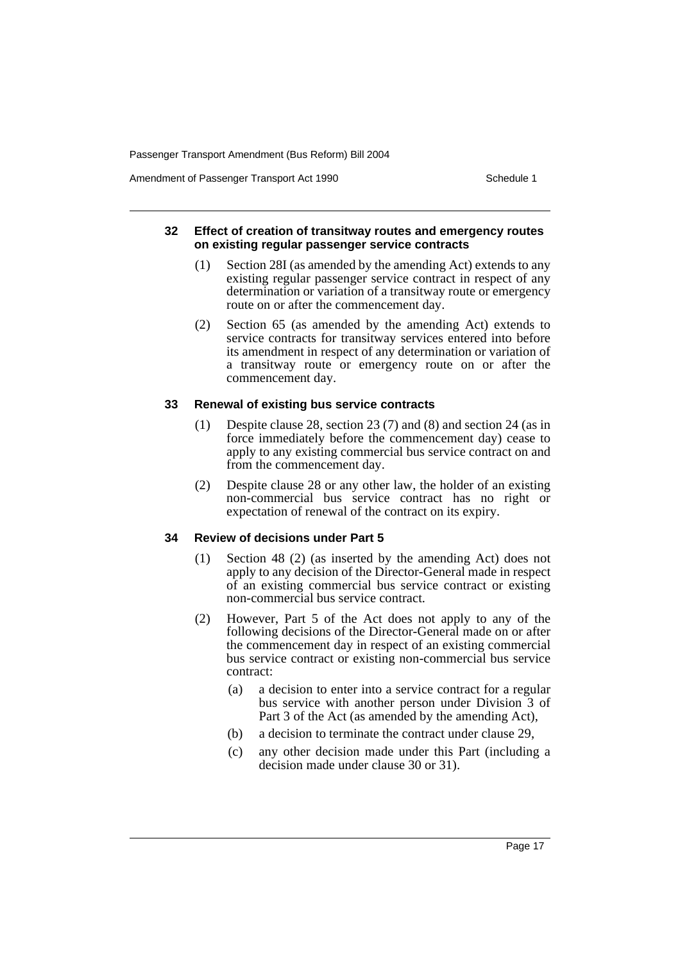Amendment of Passenger Transport Act 1990 **Schedule 1** Schedule 1

#### **32 Effect of creation of transitway routes and emergency routes on existing regular passenger service contracts**

- (1) Section 28I (as amended by the amending Act) extends to any existing regular passenger service contract in respect of any determination or variation of a transitway route or emergency route on or after the commencement day.
- (2) Section 65 (as amended by the amending Act) extends to service contracts for transitway services entered into before its amendment in respect of any determination or variation of a transitway route or emergency route on or after the commencement day.

## **33 Renewal of existing bus service contracts**

- (1) Despite clause 28, section 23 (7) and (8) and section 24 (as in force immediately before the commencement day) cease to apply to any existing commercial bus service contract on and from the commencement day.
- (2) Despite clause 28 or any other law, the holder of an existing non-commercial bus service contract has no right or expectation of renewal of the contract on its expiry.

## **34 Review of decisions under Part 5**

- (1) Section 48 (2) (as inserted by the amending Act) does not apply to any decision of the Director-General made in respect of an existing commercial bus service contract or existing non-commercial bus service contract.
- (2) However, Part 5 of the Act does not apply to any of the following decisions of the Director-General made on or after the commencement day in respect of an existing commercial bus service contract or existing non-commercial bus service contract:
	- (a) a decision to enter into a service contract for a regular bus service with another person under Division 3 of Part 3 of the Act (as amended by the amending Act),
	- (b) a decision to terminate the contract under clause 29,
	- (c) any other decision made under this Part (including a decision made under clause 30 or 31).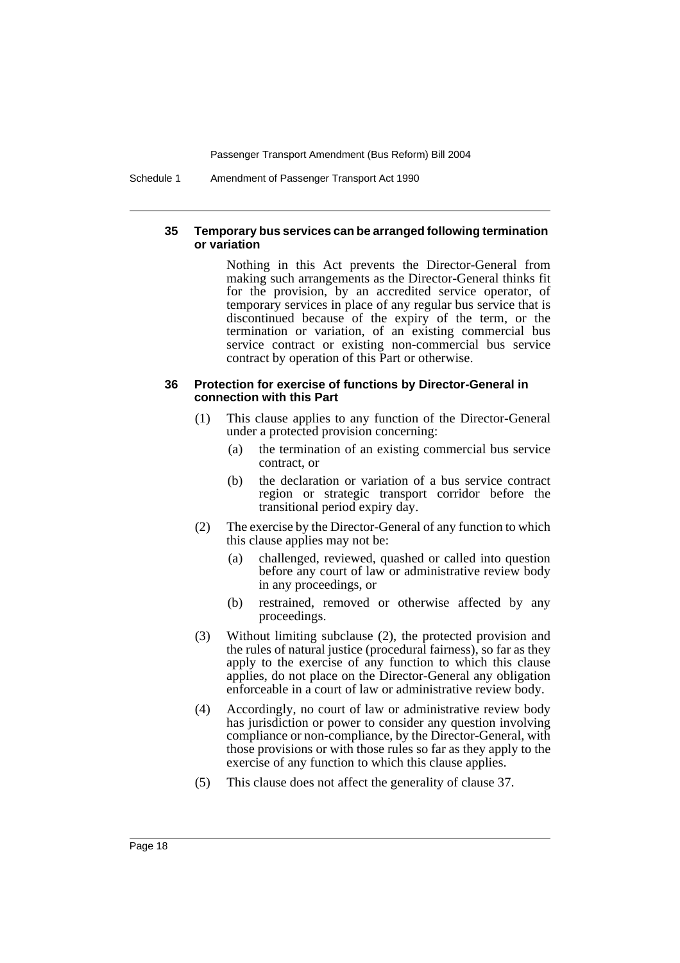Schedule 1 Amendment of Passenger Transport Act 1990

#### **35 Temporary bus services can be arranged following termination or variation**

Nothing in this Act prevents the Director-General from making such arrangements as the Director-General thinks fit for the provision, by an accredited service operator, of temporary services in place of any regular bus service that is discontinued because of the expiry of the term, or the termination or variation, of an existing commercial bus service contract or existing non-commercial bus service contract by operation of this Part or otherwise.

#### **36 Protection for exercise of functions by Director-General in connection with this Part**

- (1) This clause applies to any function of the Director-General under a protected provision concerning:
	- (a) the termination of an existing commercial bus service contract, or
	- (b) the declaration or variation of a bus service contract region or strategic transport corridor before the transitional period expiry day.
- (2) The exercise by the Director-General of any function to which this clause applies may not be:
	- (a) challenged, reviewed, quashed or called into question before any court of law or administrative review body in any proceedings, or
	- (b) restrained, removed or otherwise affected by any proceedings.
- (3) Without limiting subclause (2), the protected provision and the rules of natural justice (procedural fairness), so far as they apply to the exercise of any function to which this clause applies, do not place on the Director-General any obligation enforceable in a court of law or administrative review body.
- (4) Accordingly, no court of law or administrative review body has jurisdiction or power to consider any question involving compliance or non-compliance, by the Director-General, with those provisions or with those rules so far as they apply to the exercise of any function to which this clause applies.
- (5) This clause does not affect the generality of clause 37.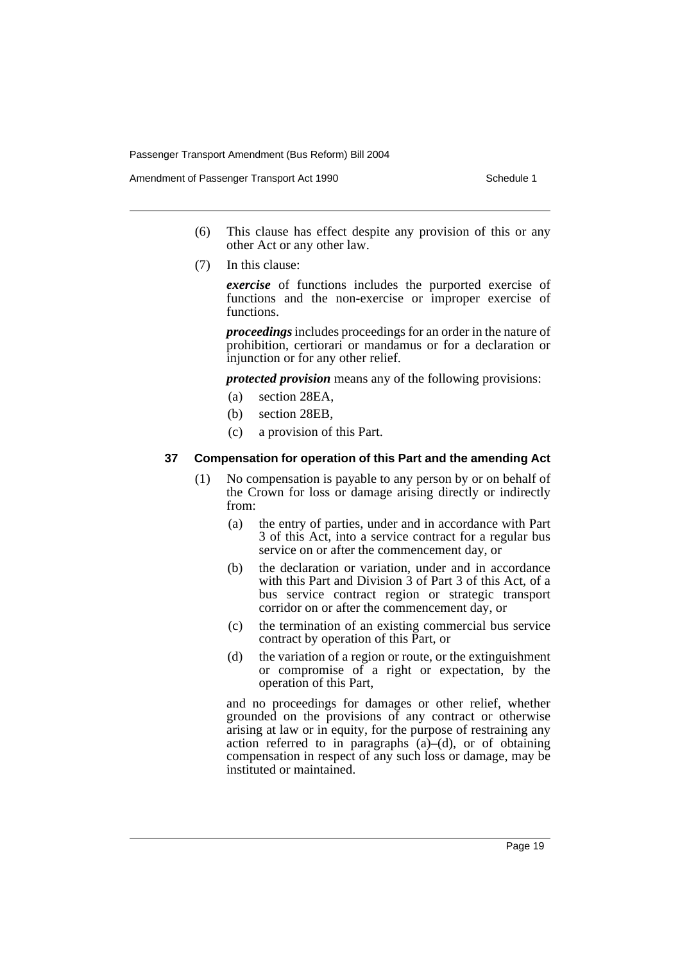Amendment of Passenger Transport Act 1990 Schedule 1

- (6) This clause has effect despite any provision of this or any other Act or any other law.
- (7) In this clause:

*exercise* of functions includes the purported exercise of functions and the non-exercise or improper exercise of functions.

*proceedings* includes proceedings for an order in the nature of prohibition, certiorari or mandamus or for a declaration or injunction or for any other relief.

*protected provision* means any of the following provisions:

- (a) section 28EA,
- (b) section 28EB,
- (c) a provision of this Part.

#### **37 Compensation for operation of this Part and the amending Act**

- (1) No compensation is payable to any person by or on behalf of the Crown for loss or damage arising directly or indirectly from:
	- (a) the entry of parties, under and in accordance with Part 3 of this Act, into a service contract for a regular bus service on or after the commencement day, or
	- (b) the declaration or variation, under and in accordance with this Part and Division 3 of Part 3 of this Act, of a bus service contract region or strategic transport corridor on or after the commencement day, or
	- (c) the termination of an existing commercial bus service contract by operation of this Part, or
	- (d) the variation of a region or route, or the extinguishment or compromise of a right or expectation, by the operation of this Part,

and no proceedings for damages or other relief, whether grounded on the provisions of any contract or otherwise arising at law or in equity, for the purpose of restraining any action referred to in paragraphs  $(a)$ – $(d)$ , or of obtaining compensation in respect of any such loss or damage, may be instituted or maintained.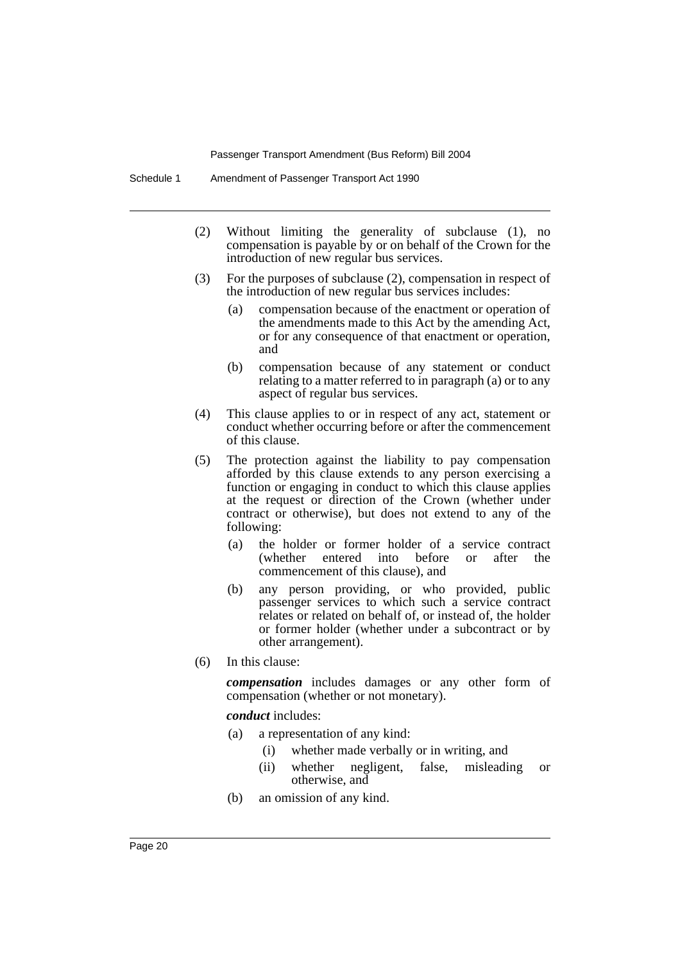- (2) Without limiting the generality of subclause (1), no compensation is payable by or on behalf of the Crown for the introduction of new regular bus services.
- (3) For the purposes of subclause (2), compensation in respect of the introduction of new regular bus services includes:
	- (a) compensation because of the enactment or operation of the amendments made to this Act by the amending Act, or for any consequence of that enactment or operation, and
	- (b) compensation because of any statement or conduct relating to a matter referred to in paragraph (a) or to any aspect of regular bus services.
- (4) This clause applies to or in respect of any act, statement or conduct whether occurring before or after the commencement of this clause.
- (5) The protection against the liability to pay compensation afforded by this clause extends to any person exercising a function or engaging in conduct to which this clause applies at the request or direction of the Crown (whether under contract or otherwise), but does not extend to any of the following:
	- (a) the holder or former holder of a service contract (whether entered into before or after the commencement of this clause), and
	- (b) any person providing, or who provided, public passenger services to which such a service contract relates or related on behalf of, or instead of, the holder or former holder (whether under a subcontract or by other arrangement).
- (6) In this clause:

*compensation* includes damages or any other form of compensation (whether or not monetary).

*conduct* includes:

- (a) a representation of any kind:
	- (i) whether made verbally or in writing, and
	- (ii) whether negligent, false, misleading or otherwise, and
- (b) an omission of any kind.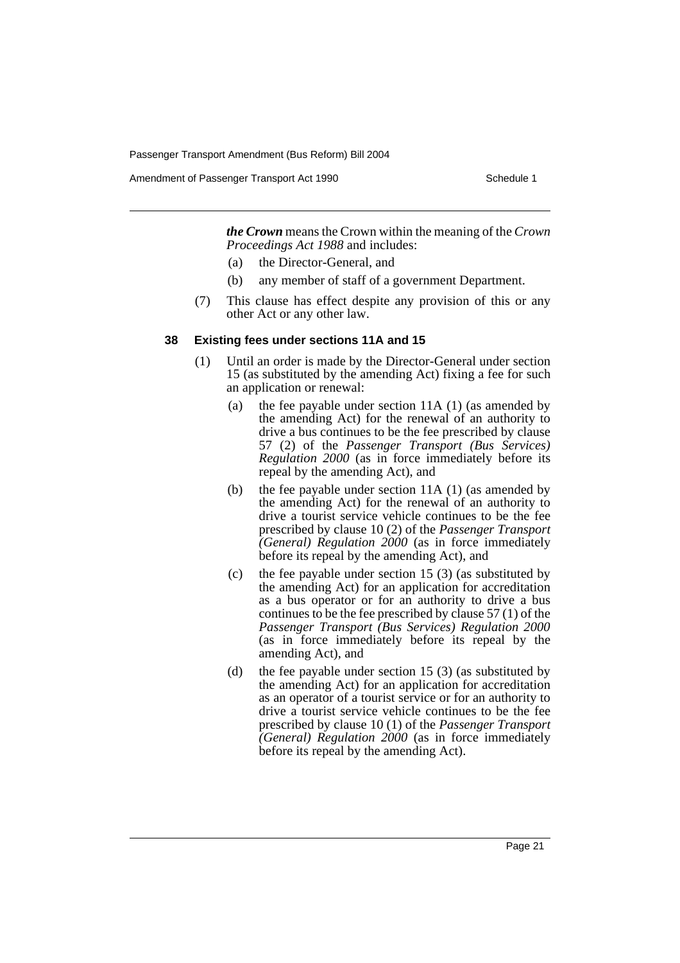Amendment of Passenger Transport Act 1990 Schedule 1

*the Crown* means the Crown within the meaning of the *Crown Proceedings Act 1988* and includes:

- (a) the Director-General, and
- (b) any member of staff of a government Department.
- (7) This clause has effect despite any provision of this or any other Act or any other law.

#### **38 Existing fees under sections 11A and 15**

- (1) Until an order is made by the Director-General under section 15 (as substituted by the amending Act) fixing a fee for such an application or renewal:
	- (a) the fee payable under section 11A (1) (as amended by the amending Act) for the renewal of an authority to drive a bus continues to be the fee prescribed by clause 57 (2) of the *Passenger Transport (Bus Services) Regulation 2000* (as in force immediately before its repeal by the amending Act), and
	- (b) the fee payable under section 11A (1) (as amended by the amending Act) for the renewal of an authority to drive a tourist service vehicle continues to be the fee prescribed by clause 10 (2) of the *Passenger Transport (General) Regulation 2000* (as in force immediately before its repeal by the amending Act), and
	- (c) the fee payable under section 15 (3) (as substituted by the amending Act) for an application for accreditation as a bus operator or for an authority to drive a bus continues to be the fee prescribed by clause 57 (1) of the *Passenger Transport (Bus Services) Regulation 2000* (as in force immediately before its repeal by the amending Act), and
	- (d) the fee payable under section 15 (3) (as substituted by the amending Act) for an application for accreditation as an operator of a tourist service or for an authority to drive a tourist service vehicle continues to be the fee prescribed by clause 10 (1) of the *Passenger Transport (General) Regulation 2000* (as in force immediately before its repeal by the amending Act).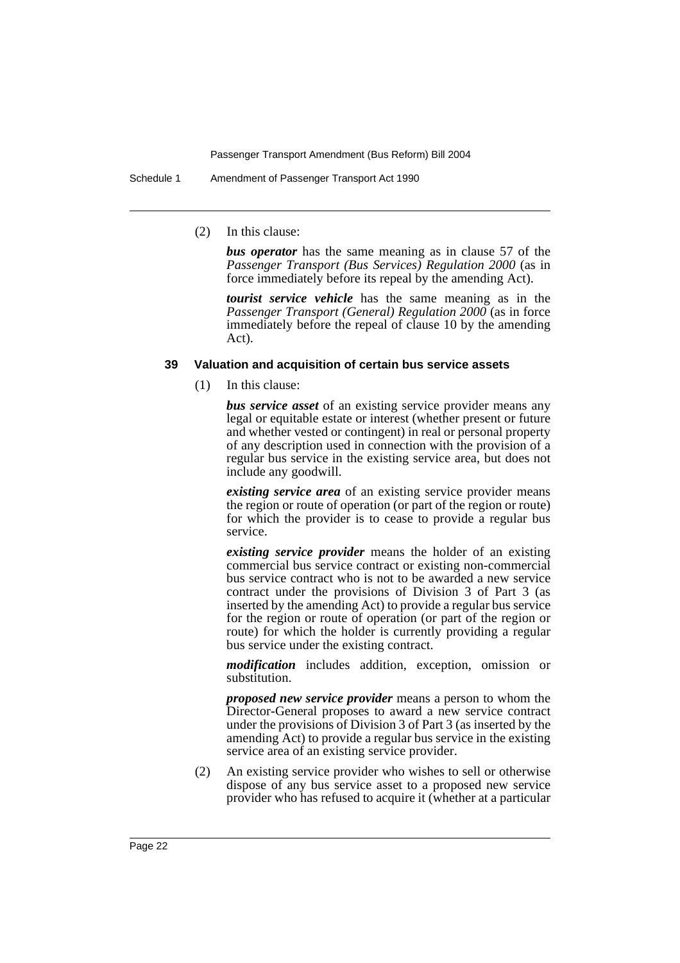Schedule 1 Amendment of Passenger Transport Act 1990

(2) In this clause:

*bus operator* has the same meaning as in clause 57 of the *Passenger Transport (Bus Services) Regulation 2000* (as in force immediately before its repeal by the amending Act).

*tourist service vehicle* has the same meaning as in the *Passenger Transport (General) Regulation 2000* (as in force immediately before the repeal of clause 10 by the amending Act).

#### **39 Valuation and acquisition of certain bus service assets**

(1) In this clause:

*bus service asset* of an existing service provider means any legal or equitable estate or interest (whether present or future and whether vested or contingent) in real or personal property of any description used in connection with the provision of a regular bus service in the existing service area, but does not include any goodwill.

*existing service area* of an existing service provider means the region or route of operation (or part of the region or route) for which the provider is to cease to provide a regular bus service.

*existing service provider* means the holder of an existing commercial bus service contract or existing non-commercial bus service contract who is not to be awarded a new service contract under the provisions of Division 3 of Part 3 (as inserted by the amending Act) to provide a regular bus service for the region or route of operation (or part of the region or route) for which the holder is currently providing a regular bus service under the existing contract.

*modification* includes addition, exception, omission or substitution.

*proposed new service provider* means a person to whom the Director-General proposes to award a new service contract under the provisions of Division 3 of Part 3 (as inserted by the amending Act) to provide a regular bus service in the existing service area of an existing service provider.

(2) An existing service provider who wishes to sell or otherwise dispose of any bus service asset to a proposed new service provider who has refused to acquire it (whether at a particular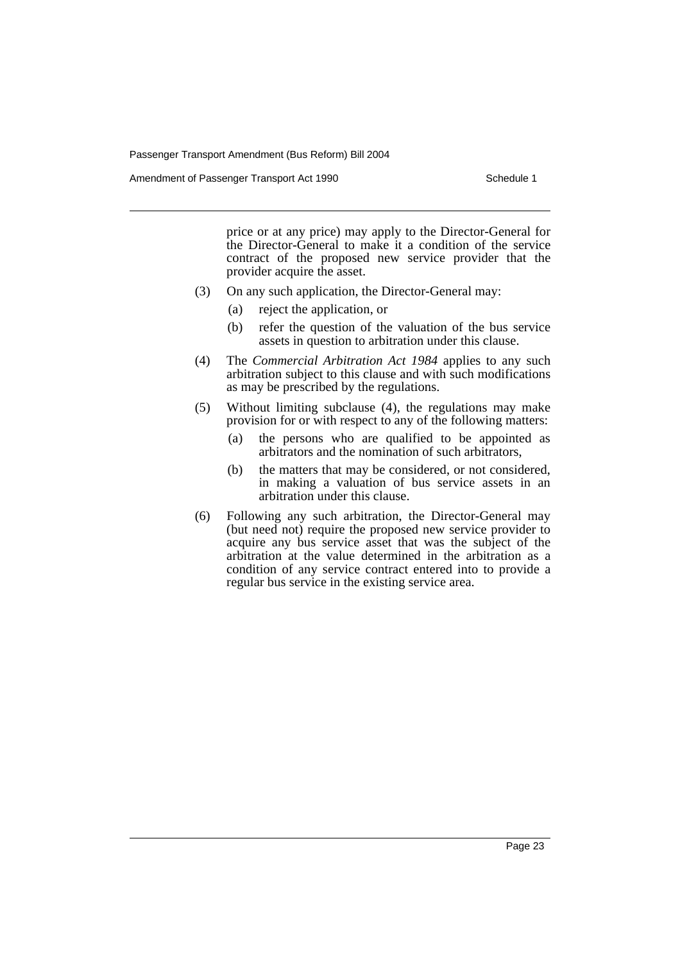Amendment of Passenger Transport Act 1990 Schedule 1

price or at any price) may apply to the Director-General for the Director-General to make it a condition of the service contract of the proposed new service provider that the provider acquire the asset.

- (3) On any such application, the Director-General may:
	- (a) reject the application, or
	- (b) refer the question of the valuation of the bus service assets in question to arbitration under this clause.
- (4) The *Commercial Arbitration Act 1984* applies to any such arbitration subject to this clause and with such modifications as may be prescribed by the regulations.
- (5) Without limiting subclause (4), the regulations may make provision for or with respect to any of the following matters:
	- (a) the persons who are qualified to be appointed as arbitrators and the nomination of such arbitrators,
	- (b) the matters that may be considered, or not considered, in making a valuation of bus service assets in an arbitration under this clause.
- (6) Following any such arbitration, the Director-General may (but need not) require the proposed new service provider to acquire any bus service asset that was the subject of the arbitration at the value determined in the arbitration as a condition of any service contract entered into to provide a regular bus service in the existing service area.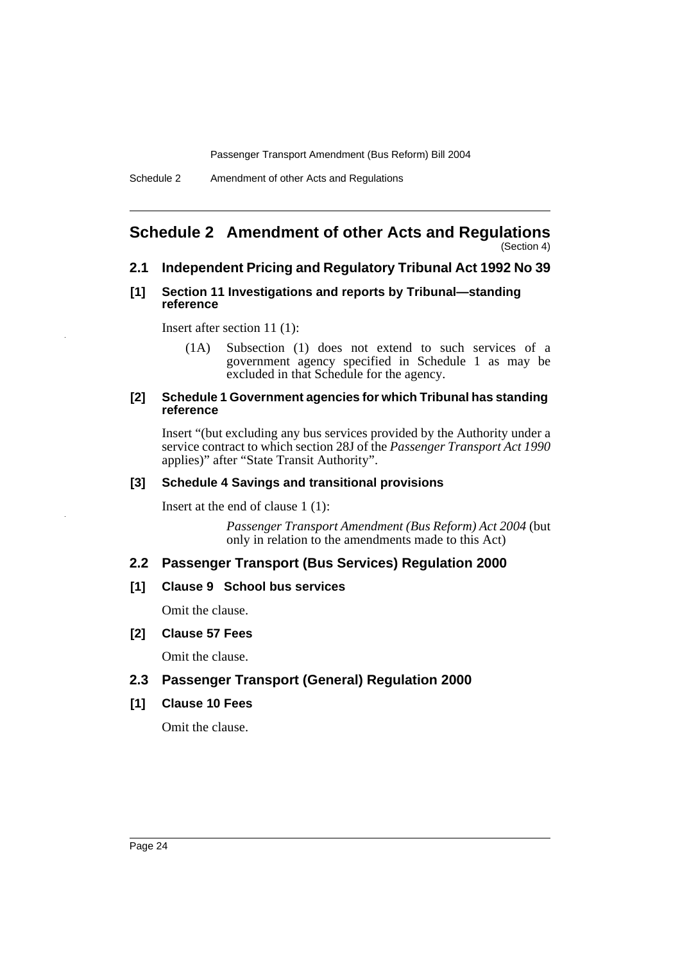#### **Schedule 2 Amendment of other Acts and Regulations** (Section 4)

# **2.1 Independent Pricing and Regulatory Tribunal Act 1992 No 39**

## **[1] Section 11 Investigations and reports by Tribunal—standing reference**

Insert after section 11 (1):

(1A) Subsection (1) does not extend to such services of a government agency specified in Schedule 1 as may be excluded in that Schedule for the agency.

## **[2] Schedule 1 Government agencies for which Tribunal has standing reference**

Insert "(but excluding any bus services provided by the Authority under a service contract to which section 28J of the *Passenger Transport Act 1990* applies)" after "State Transit Authority".

## **[3] Schedule 4 Savings and transitional provisions**

Insert at the end of clause 1 (1):

*Passenger Transport Amendment (Bus Reform) Act 2004* (but only in relation to the amendments made to this Act)

# **2.2 Passenger Transport (Bus Services) Regulation 2000**

# **[1] Clause 9 School bus services**

Omit the clause.

# **[2] Clause 57 Fees**

Omit the clause.

# **2.3 Passenger Transport (General) Regulation 2000**

# **[1] Clause 10 Fees**

Omit the clause.